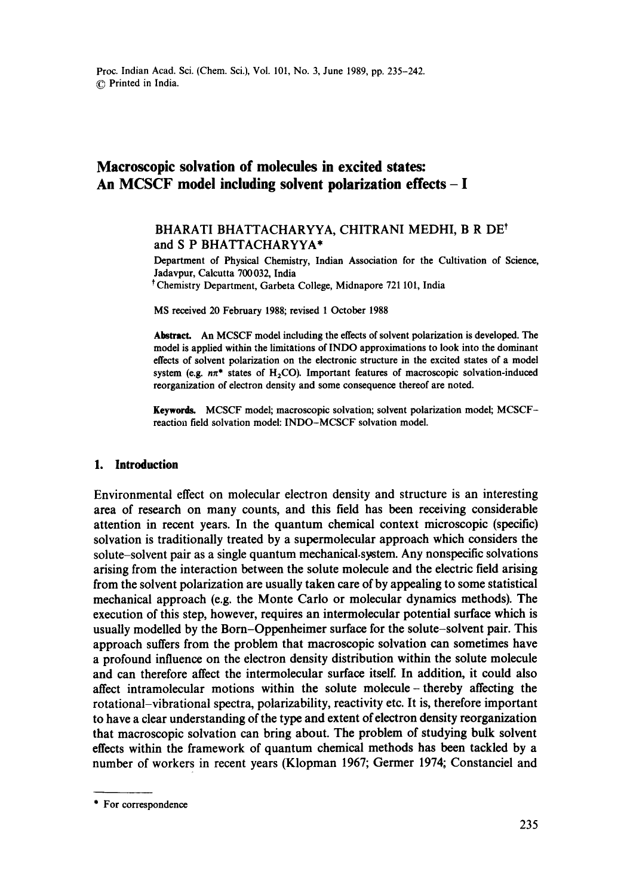# **Macroscopic solvation of molecules in excited states: An MCSCF model including solvent polarization effects- I**

# BHARATI BHATTACHARYYA, CHITRANI MEDHI, B R DE<sup>t</sup> and S P BHATTACHARYYA\*

Department of Physical Chemistry, Indian Association for the Cultivation of Science, Jadavpur, Calcutta 700032, India

t Chemistry Department, Garbeta College, Midnapore 721 101, India

MS received 20 February 1988; revised I October 1988

Abstract. An MCSCF model including the effects of solvent polarization is developed. The model is applied within the limitations of INDO approximations to look into the dominant effects of solvent polarization on the electronic structure in the excited states of a model system (e.g.  $n\pi^*$  states of H<sub>2</sub>CO). Important features of macroscopic solvation-induced reorganization of electron density and some consequence thereof are noted.

Keywords. MCSCF model; macroscopic soivation; solvent polarization model; MCSCFreaction field solvation model: INDO-MCSCF solvation model.

# **1. Introduction**

Environmental effect on molecular electron density and structure is an interesting area of research on many counts, and this field has been receiving considerable attention in recent years. In the quantum chemical context microscopic (specific) solvation is traditionally treated by a supermolecular approach which considers the solute-solvent pair as a single quantum mechanical.system. Any nonspecific solvations arising from the interaction between the solute molecule and the electric field arising from the solvent polarization are usually taken care of by appealing to some statistical mechanical approach (e.g. the Monte Carlo or molecular dynamics methods). The execution of this step, however, requires an intermolecular potential surface which is usually modelled by the Born-Oppenheimer surface for the solute-solvent pair. This approach suffers from the problem that macroscopic solvation can sometimes have a profound influence on the electron density distribution within the solute molecule and can therefore affect the intermolecular surface itself. In addition, it could also affect intramolecular motions within the solute molecule- thereby affecting the rotational-vibrational spectra, polarizability, reactivity etc. It is, therefore important to have a clear understanding of the type and extent of electron density reorganization that macroscopic solvation can bring about. The problem of studying bulk solvent effects within the framework of quantum chemical methods has been tackled by a number of workers in recent years (Klopman 1967; Germer 1974; Constanciel and

<sup>\*</sup> For correspondence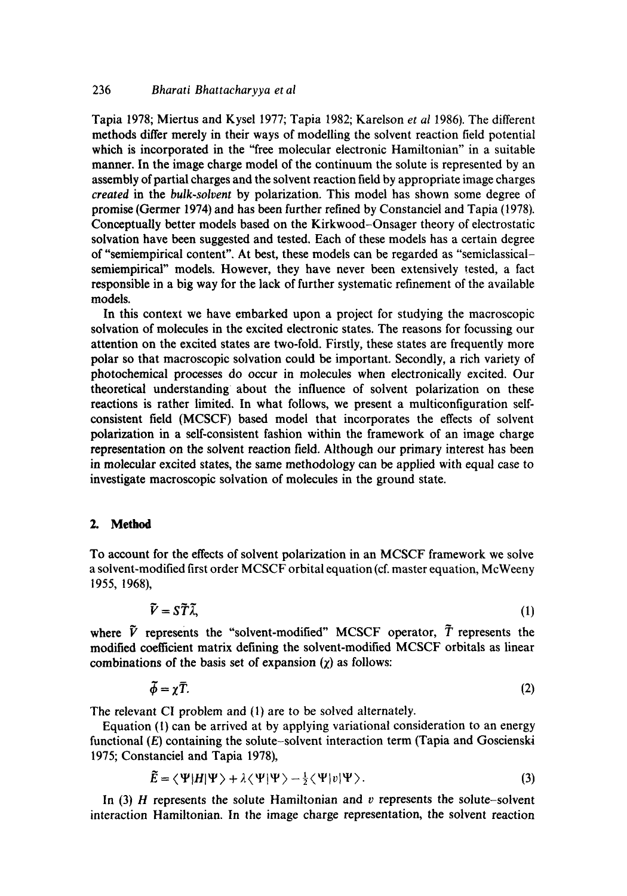# 236 *Bharati Bhattacharyya et al*

Tapia 1978; Miertus and Kysel 1977; Tapia 1982; Karelson *et al* 1986). The different methods differ merely in their ways of modelling the solvent reaction field potential which is incorporated in the "free molecular electronic Hamiltonian" in a suitable manner. In the image charge model of the continuum the solute is represented by an assembly of partial charges and the solvent reaction field by appropriate image charges *created* in the *bulk-solvent* by polarization. This model has shown some degree of promise (Germer 1974) and has been further refined by Constanciel and Tapia (1978). Conceptually better models based on the Kirkwood-Onsager theory of electrostatic solvation have been suggested and tested. Each of these models has a certain degree of "semiempirical content". At best, these models can be regarded as "semiclassicalsemiempirical" models. However, they have never been extensively tested, a fact responsible in a big way for the lack of further systematic refinement of the available models.

In this context we have embarked upon a project for studying the macroscopic solvation of molecules in the excited electronic states. The reasons for focussing our attention on the excited states are two-fold. Firstly, these states are frequently more polar so that macroscopic solvation could be important. Secondly, a rich variety of photochemical processes do occur in molecules when electronically excited. Our theoretical understanding about the influence of solvent polarization on these reactions is rather limited. In what follows, we present a multiconfiguration selfconsistent field (MCSCF) based model that incorporates the effects of solvent polarization in a self-consistent fashion within the framework of an image charge representation on the solvent reaction field. Although our primary interest has been in molecular excited states, the same methodology can be applied with equal case to investigate macroscopic solvation of molecules in the ground state.

### **2. Method**

To account for the effects of solvent polarization in an MCSCF framework we solve a solvent-modified first order MCSCF orbital equation (cf. master equation, McWeeny 1955, 1968),

$$
\tilde{V} = S\tilde{T}\tilde{\lambda},\tag{1}
$$

where  $\tilde{V}$  represents the "solvent-modified" MCSCF operator,  $\tilde{T}$  represents the modified coefficient matrix defining the solvent-modified MCSCF orbitals as linear combinations of the basis set of expansion  $(\chi)$  as follows:

$$
\tilde{\phi} = \chi \bar{T}.\tag{2}
$$

The relevant CI problem and (1) are to be solved alternately.

Equation (1) can be arrived at by applying variational consideration to an energy functional  $(E)$  containing the solute-solvent interaction term (Tapia and Goscienski 1975; Constanciel and Tapia 1978),

$$
\widetilde{E} = \langle \Psi | H | \Psi \rangle + \lambda \langle \Psi | \Psi \rangle - \frac{1}{2} \langle \Psi | v | \Psi \rangle. \tag{3}
$$

In  $(3)$  H represents the solute Hamiltonian and v represents the solute-solvent interaction Hamiltonian. In the image charge representation, the solvent reaction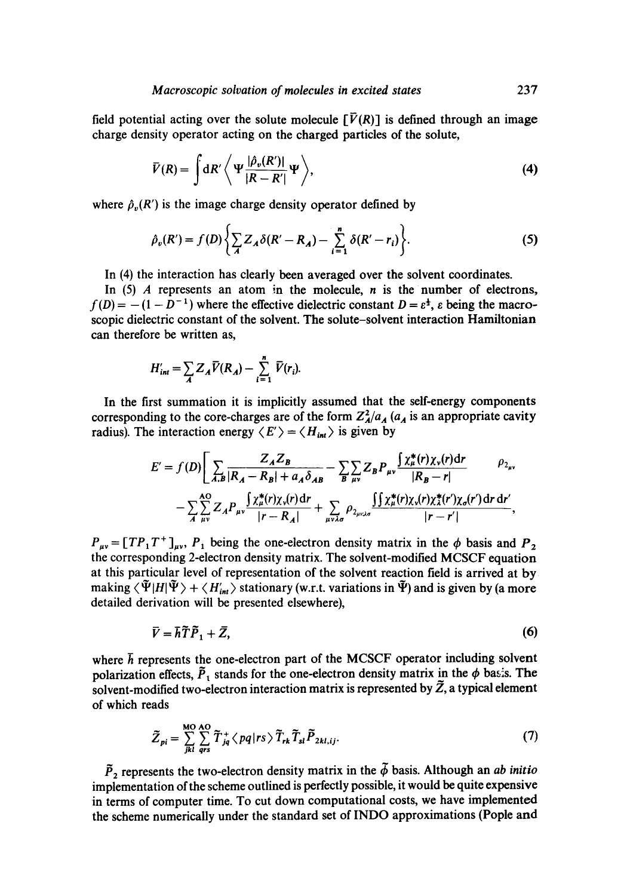field potential acting over the solute molecule  $\[\bar{V}(R)\]$  is defined through an image charge density operator acting on the charged particles of the solute,

$$
\bar{V}(R) = \int dR' \left\langle \Psi \frac{|\hat{\rho}_{\nu}(R')|}{|R - R'|} \Psi \right\rangle, \tag{4}
$$

where  $\hat{\rho}_{\theta}(R')$  is the image charge density operator defined by

$$
\hat{\rho}_v(R') = f(D) \left\{ \sum_A Z_A \delta(R' - R_A) - \sum_{i=1}^n \delta(R' - r_i) \right\}.
$$
 (5)

In (4) the interaction has clearly been averaged over the solvent coordinates.

In  $(5)$  A represents an atom in the molecule, n is the number of electrons,  $f(D) = -(1 - D^{-1})$  where the effective dielectric constant  $D = \varepsilon^{\frac{1}{2}}$ ,  $\varepsilon$  being the macroscopic dielectric constant of the solvent. The solute-solvent interaction Hamiltonian can therefore be written as,

$$
H'_{int} = \sum_{A} Z_A \overline{V}(R_A) - \sum_{i=1}^{n} \overline{V}(r_i).
$$

In the first summation it is implicitly assumed that the self-energy components corresponding to the core-charges are of the form  $Z_A^2/a_A$  ( $a_A$  is an appropriate cavity radius). The interaction energy  $\langle E' \rangle = \langle H_{int} \rangle$  is given by

$$
E' = f(D) \left[ \sum_{A,B} \frac{Z_A Z_B}{|R_A - R_B| + a_A \delta_{AB}} - \sum_{B} \sum_{\mu\nu} Z_B P_{\mu\nu} \frac{\int \chi_{\mu}^*(r) \chi_{\nu}(r) dr}{|R_B - r|} - \sum_{A} \sum_{\mu\nu} \frac{Z_A P_{\mu\nu} \int \chi_{\mu}^*(r) \chi_{\nu}(r) dr}{|r - R_A|} + \sum_{\mu\nu\lambda\sigma} \rho_{2_{\mu\nu\lambda\sigma}} \frac{\int \int \chi_{\mu}^*(r) \chi_{\nu}(r) \chi_{\mu}^*(r') \chi_{\sigma}(r') dr dr'}{|r - r'|}, \right]
$$

 $P_{\mu\nu} = [TP_1T^+]_{\mu\nu}$ ,  $P_1$  being the one-electron density matrix in the  $\phi$  basis and  $P_2$ the corresponding 2-electron density matrix. The solvent-modified MCSCF equation at this particular level of representation of the solvent reaction field is arrived at by making  $\langle \tilde{\Psi} | H | \tilde{\Psi} \rangle + \langle H'_{int} \rangle$  stationary (w.r.t. variations in  $\tilde{\Psi}$ ) and is given by (a more detailed derivation will be presented elsewhere),

$$
\bar{V} = \bar{h}\tilde{T}\tilde{P}_1 + \bar{Z},\tag{6}
$$

where  $\bar{h}$  represents the one-electron part of the MCSCF operator including solvent polarization effects,  $\tilde{P}_1$  stands for the one-electron density matrix in the  $\phi$  basis. The solvent-modified two-electron interaction matrix is represented by  $\tilde{Z}$ , a typical element of which reads

$$
\widetilde{Z}_{pi} = \sum_{jkl}^{MO} \sum_{qrs}^{AO} \widetilde{T}_{jq}^+ \langle pq \vert rs \rangle \widetilde{T}_{rk} \widetilde{T}_{sl} \widetilde{P}_{2kl,ij}.
$$
 (7)

 $\tilde{P}_2$  represents the two-electron density matrix in the  $\tilde{\phi}$  basis. Although an *ab initio* implementation of the scheme outlined is perfectly possible, it would be quite expensive in terms of computer time. To cut down computational costs, we have implemented the scheme numerically under the standard set of [NDO approximations (Pople and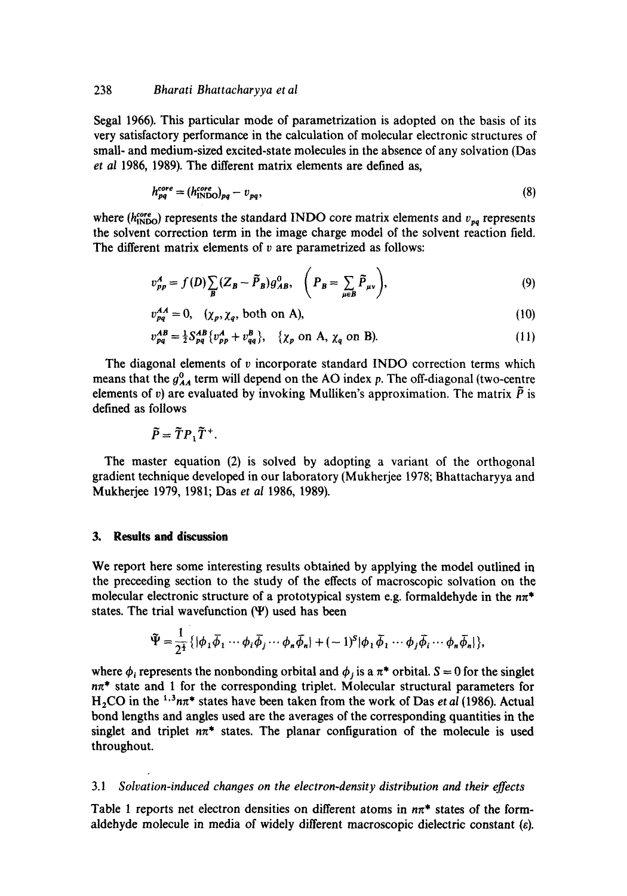Segal 1966). This particular mode of parametrization is adopted on the basis of its very satisfactory performance in the calculation of molecular electronic structures of small- and medium-sized excited-state molecules in the absence of any solvation (Das *et al* 1986, 1989). The different matrix elements are defined as,

$$
h_{pq}^{core} = (h_{\text{INDO}}^{core})_{pq} - v_{pq},\tag{8}
$$

where  $(h_{\text{INDO}}^{\text{core}})$  represents the standard INDO core matrix elements and  $v_{pa}$  represents the solvent correction term in the image charge model of the solvent reaction field. The different matrix elements of  $v$  are parametrized as follows:

$$
v_{pp}^A = f(D) \sum_{B} (Z_B - \widetilde{P}_B) g_{AB}^0, \quad \left(P_B = \sum_{\mu \in B} \widetilde{P}_{\mu\nu}\right), \tag{9}
$$

$$
v_{pq}^{AA} = 0, \quad (\chi_p, \chi_q, \text{ both on A}), \tag{10}
$$

$$
v_{pq}^{AB} = \frac{1}{2} S_{pq}^{AB} \{ v_{pp}^A + v_{qq}^B \}, \quad \{ \chi_p \text{ on } A, \, \chi_q \text{ on } B \}. \tag{11}
$$

The diagonal elements of  $v$  incorporate standard INDO correction terms which means that the  $g_{AA}^0$  term will depend on the AO index p. The off-diagonal (two-centre elements of v) are evaluated by invoking Mulliken's approximation. The matrix  $\tilde{P}$  is defined as follows

$$
\widetilde{P}=\widetilde{T}P_1\widetilde{T}^+.
$$

The master equation (2) is solved by adopting a variant of the orthogonal gradient technique developed in our laboratory (Mukherjee 1978; Bhattacharyya and Mukherjee 1979, 1981; Das *et al* 1986, 1989).

# **3. Results and discussion**

We report here some interesting results obtained by applying the model outlined in the preceeding section to the study of the effects of macroscopic solvation on the molecular electronic structure of a prototypical system e.g. formaldehyde in the  $n\pi^*$ states. The trial wavefunction  $(\Psi)$  used has been

$$
\widetilde{\Psi} = \frac{1}{2^{\frac{1}{2}}} \{ |\phi_1 \overline{\phi}_1 \cdots \phi_i \overline{\phi}_j \cdots \phi_n \overline{\phi}_n| + (-1)^s |\phi_1 \overline{\phi}_1 \cdots \phi_j \overline{\phi}_i \cdots \phi_n \overline{\phi}_n| \},
$$

where  $\phi_i$  represents the nonbonding orbital and  $\phi_j$  is a  $\pi^*$  orbital. S = 0 for the singlet  $n\pi$ <sup>\*</sup> state and 1 for the corresponding triplet. Molecular structural parameters for  $H_2CO$  in the <sup>1,3</sup>n $\pi$ <sup>\*</sup> states have been taken from the work of Das *et al* (1986). Actual bond lengths and angles used are the averages of the corresponding quantities in the singlet and triplet  $n\pi^*$  states. The planar configuration of the molecule is used throughout.

# *3.1 Solvation-induced changes on the electron-density distribution and their effects*

Table 1 reports net electron densities on different atoms in  $n\pi^*$  states of the formaldehyde molecule in media of widely different macroscopic dielectric constant  $(\varepsilon)$ .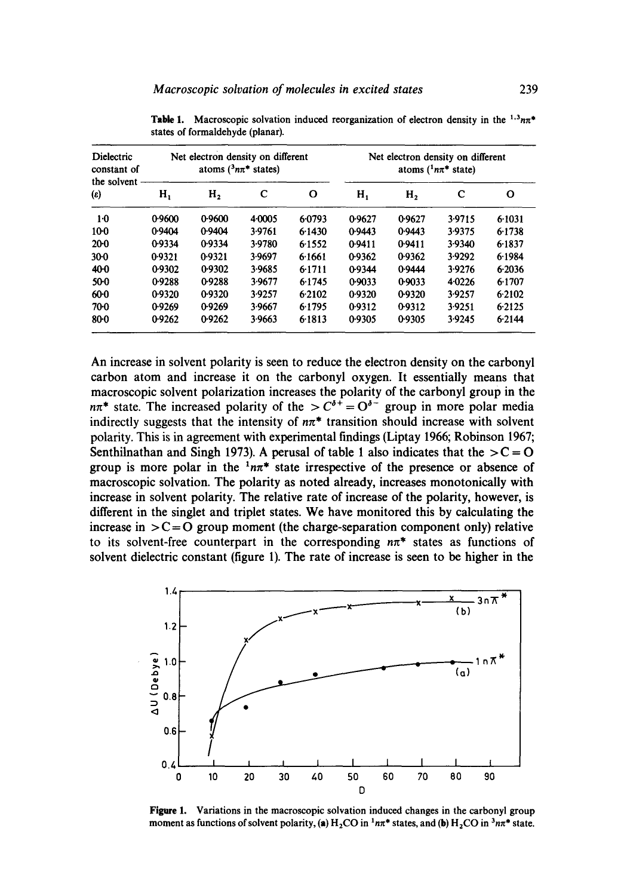| Dielectric<br>constant of<br>the solvent -<br>$(\epsilon)$ | Net electron density on different<br>atoms $(3n\pi^*$ states) |                |        |        | Net electron density on different<br>atoms $(^1n\pi^*$ state) |        |        |        |
|------------------------------------------------------------|---------------------------------------------------------------|----------------|--------|--------|---------------------------------------------------------------|--------|--------|--------|
|                                                            | $H_{1}$                                                       | H <sub>2</sub> | C      | O      | н,                                                            | Н,     | C      | Ο      |
| $1-0$                                                      | 0.9600                                                        | 0.9600         | 4.0005 | 6.0793 | 0.9627                                                        | 0.9627 | 3.9715 | 6.1031 |
| $10-0$                                                     | 0.9404                                                        | 0.9404         | 3.9761 | 6.1430 | 0.9443                                                        | 0.9443 | 3.9375 | 6.1738 |
| $20-0$                                                     | 0.9334                                                        | 0.9334         | 3.9780 | 6.1552 | 0.9411                                                        | 0.9411 | 3.9340 | 6.1837 |
| $30 - 0$                                                   | 0.9321                                                        | 0.9321         | 3.9697 | 6.1661 | 0.9362                                                        | 0.9362 | 3.9292 | 6.1984 |
| $40-0$                                                     | 0.9302                                                        | 0.9302         | 3.9685 | 6.1711 | 0.9344                                                        | 0.9444 | 3.9276 | 6.2036 |
| 50-0                                                       | 0.9288                                                        | 0.9288         | 3.9677 | 6.1745 | 0.9033                                                        | 0.9033 | 4.0226 | 6.1707 |
| $60 - 0$                                                   | 0.9320                                                        | 0.9320         | 3.9257 | 6.2102 | 0.9320                                                        | 0.9320 | 3.9257 | 6.2102 |
| 70-0                                                       | 0.9269                                                        | 0.9269         | 3.9667 | 6.1795 | 0.9312                                                        | 0.9312 | 3.9251 | 6.2125 |
| 80-0                                                       | 0.9262                                                        | 0.9262         | 3.9663 | 6.1813 | 0.9305                                                        | 0.9305 | 3.9245 | 6.2144 |

**Table 1.** Macroscopic solvation induced reorganization of electron density in the <sup>1,3</sup> $n\pi$ <sup>\*</sup> states of formaldehyde (planar).

An increase in solvent polarity is seen to reduce the electron density on the carbonyl carbon atom and increase it on the carbonyl oxygen. It essentially means that macroscopic solvent polarization increases the polarity of the carbonyl group in the  $n\pi^*$  state. The increased polarity of the  $>C^{\delta^+} = O^{\delta^-}$  group in more polar media indirectly suggests that the intensity of  $n\pi^*$  transition should increase with solvent polarity. This is in agreement with experimental findings (Liptay 1966; Robinson 1967; Senthilnathan and Singh 1973). A perusal of table 1 also indicates that the  $> C = O$ group is more polar in the  $ln\pi^*$  state irrespective of the presence or absence of macroscopic solvation. The polarity as noted already, increases monotonically with increase in solvent polarity. The relative rate of increase of the polarity, however, is different in the singlet and triplet states. We have monitored this by calculating the increase in  $> C = O$  group moment (the charge-separation component only) relative to its solvent-free counterpart in the corresponding  $n\pi^*$  states as functions of solvent dielectric constant (figure 1). The rate of increase is seen to be higher in the



**Figure** 1. Variations in the macroscopic solvation induced changes in the carbonyl group moment as functions of solvent polarity, (a)  $H_2CO$  in  $1n\pi^*$  states, and (b)  $H_2CO$  in  $3n\pi^*$  state.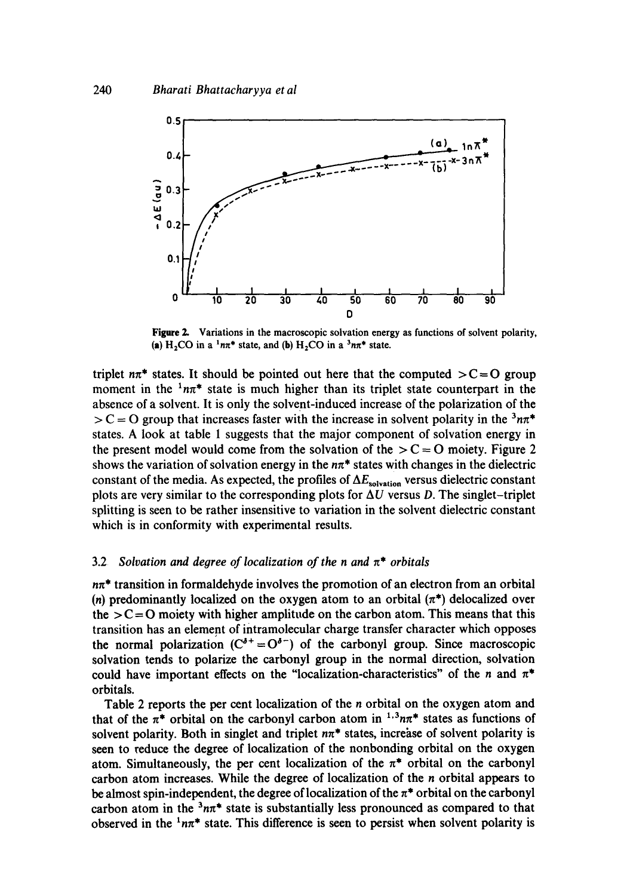

**Figure 2.**  Variations in the macroscopic solvation energy as functions of solvent polarity, (a)  $H_2CO$  in a  $^1n\pi^*$  state, and (b)  $H_2CO$  in a  $^3n\pi^*$  state.

triplet  $n\pi^*$  states. It should be pointed out here that the computed  $>C=O$  group moment in the  $\frac{1}{n}\pi^*$  state is much higher than its triplet state counterpart in the absence of a solvent. It is only the solvent-induced increase of the polarization of the  $> C = O$  group that increases faster with the increase in solvent polarity in the  $\lambda n \pi^*$ states. A look at table 1 suggests that the major component of solvation energy in the present model would come from the solvation of the  $>C = O$  moiety. Figure 2 shows the variation of solvation energy in the  $n\pi^*$  states with changes in the dielectric constant of the media. As expected, the profiles of  $\Delta E_{\text{solvation}}$  versus dielectric constant plots are very similar to the corresponding plots for  $\Delta U$  versus D. The singlet-triplet splitting is seen to be rather insensitive to variation in the solvent dielectric constant which is in conformity with experimental results.

# 3.2 *Solvation and degree of localization of the n and*  $\pi^*$  *orbitals*

 $n\pi^*$  transition in formaldehyde involves the promotion of an electron from an orbital (n) predominantly localized on the oxygen atom to an orbital  $(\pi^*)$  delocalized over the  $>C=O$  moiety with higher amplitude on the carbon atom. This means that this transition has an element of intramolecular charge transfer character which opposes the normal polarization  $(C^{d+} = Q^{d-})$  of the carbonyl group. Since macroscopic solvation tends to polarize the carbonyl group in the normal direction, solvation could have important effects on the "localization-characteristics" of the n and  $\pi^*$ orbitals.

Table 2 reports the per cent localization of the n orbital on the oxygen atom and that of the  $\pi^*$  orbital on the carbonyl carbon atom in <sup>1,3</sup>n $\pi^*$  states as functions of solvent polarity. Both in singlet and triplet  $n\pi^*$  states, increase of solvent polarity is seen to reduce the degree of localization of the nonbonding orbital on the oxygen atom. Simultaneously, the per cent localization of the  $\pi^*$  orbital on the carbonyl carbon atom increases. While the degree of localization of the  $n$  orbital appears to be almost spin-independent, the degree of localization of the  $\pi^*$  orbital on the carbonyl carbon atom in the  $3n\pi^*$  state is substantially less pronounced as compared to that observed in the  $1n\pi^*$  state. This difference is seen to persist when solvent polarity is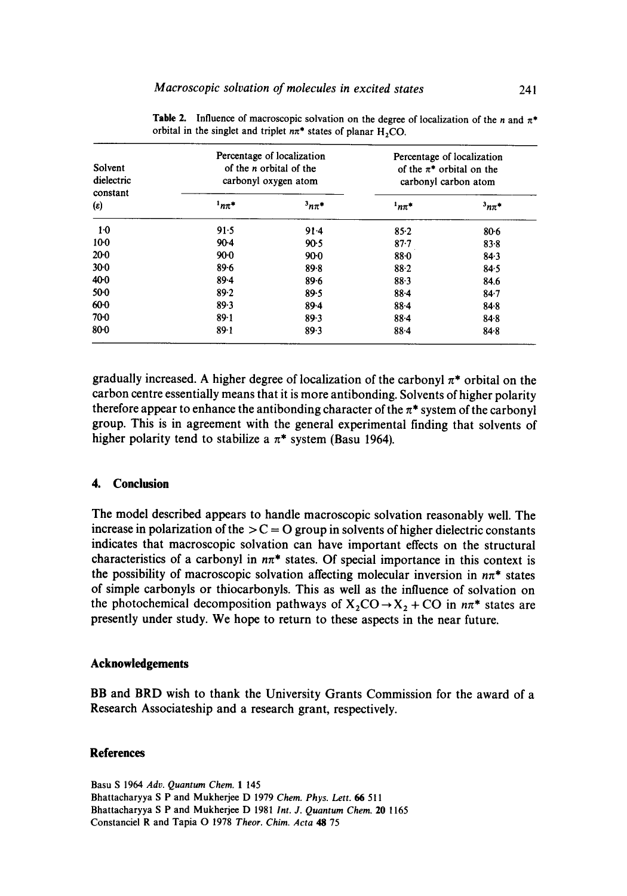| Solvent<br>dielectric<br>constant |          | Percentage of localization<br>of the <i>n</i> orbital of the<br>carbonyl oxygen atom | Percentage of localization<br>of the $\pi^*$ orbital on the<br>carbonyl carbon atom |           |  |
|-----------------------------------|----------|--------------------------------------------------------------------------------------|-------------------------------------------------------------------------------------|-----------|--|
| $(\epsilon)$                      | $n\pi$   | $3n\pi$ *                                                                            | $n\pi^*$                                                                            | $3n\pi$ * |  |
| 1·0                               | 91.5     | $91-4$                                                                               | $85-2$                                                                              | $80 - 6$  |  |
| 10.0                              | $90-4$   | 90.5                                                                                 | $87 - 7$                                                                            | $83 - 8$  |  |
| 20 <sub>0</sub>                   | $90-0$   | $90-0$                                                                               | $88 - 0$                                                                            | 84.3      |  |
| 30 <sub>0</sub>                   | 89.6     | 89.8                                                                                 | 88.2                                                                                | 84.5      |  |
| 40.0                              | 89.4     | 89.6                                                                                 | 88.3                                                                                | 84.6      |  |
| 50-0                              | 89.2     | 89.5                                                                                 | $88 - 4$                                                                            | $84 - 7$  |  |
| $60 - 0$                          | 89.3     | $89-4$                                                                               | 88-4                                                                                | 84.8      |  |
| 700                               | $89-1$   | 89.3                                                                                 | $88 - 4$                                                                            | 84.8      |  |
| $80-0$                            | $89 - 1$ | 89.3                                                                                 | $88 - 4$                                                                            | 848       |  |

**Table 2.** Influence of macroscopic solvation on the degree of localization of the *n* and  $\pi^*$ orbital in the singlet and triplet  $n\pi^*$  states of planar H<sub>2</sub>CO.

gradually increased. A higher degree of localization of the carbonyl  $\pi^*$  orbital on the **carbon centre essentially means that it is more antibonding. Solvents of higher polarity**  therefore appear to enhance the antibonding character of the  $\pi$ <sup>\*</sup> system of the carbonyl **group. This is in agreement with the general experimental finding that solvents of**  higher polarity tend to stabilize a  $\pi^*$  system (Basu 1964).

#### **4. Conclusion**

**The model described appears to handle macroscopic solvation reasonably well. The**  increase in polarization of the  $>C = O$  group in solvents of higher dielectric constants **indicates that macroscopic solvation can have important effects on the structural**  characteristics of a carbonyl in  $n\pi^*$  states. Of special importance in this context is the possibility of macroscopic solvation affecting molecular inversion in  $n\pi^*$  states **of simple carbonyls or thiocarbonyls. This as well as the influence of solvation on**  the photochemical decomposition pathways of  $X_2CO \rightarrow X_2 + CO$  in  $n\pi^*$  states are **presently under study. We hope to return to these aspects in the near future.** 

#### **Acknowledgements**

**BB and BRD wish to thank the University Grants Commission for the award of a Research Associateship and a research grant, respectively.** 

#### **References**

**Basu** S 1964 *Adv. Quantum Chem.* 1 145 **Bhattacharyya** S P **and Mukherjee** D 1979 *Chem. Phys. Lett. 66* 511 **Bhattacharyya** S P **and Mukherjee** D 1981 *Int. J. Quantum Chem.* 20 1165 **Constanciel R and Tapia** O 1978 *Theor. Chim. Acta 48* 75